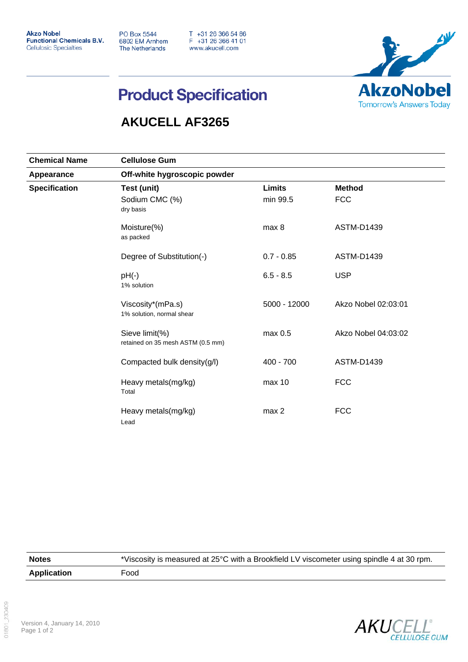**Akzo Nobel Functional Chemicals B.V. Cellulosic Specialties** 

**PO Box 5544** 6802 EM Arnhem **The Netherlands** 

T +31 26 366 54 86<br>F +31 26 366 41 01 www.akucell.com



## **Product Specification**

## **AKUCELL AF3265**

| <b>Chemical Name</b>               | <b>Cellulose Gum</b><br>Off-white hygroscopic powder |                           |                             |  |
|------------------------------------|------------------------------------------------------|---------------------------|-----------------------------|--|
| Appearance<br><b>Specification</b> |                                                      |                           |                             |  |
|                                    | Test (unit)<br>Sodium CMC (%)<br>dry basis           | <b>Limits</b><br>min 99.5 | <b>Method</b><br><b>FCC</b> |  |
|                                    | Moisture(%)<br>as packed                             | max 8                     | <b>ASTM-D1439</b>           |  |
|                                    | Degree of Substitution(-)                            | $0.7 - 0.85$              | <b>ASTM-D1439</b>           |  |
|                                    | $pH(-)$<br>1% solution                               | $6.5 - 8.5$               | <b>USP</b>                  |  |
|                                    | Viscosity*(mPa.s)<br>1% solution, normal shear       | 5000 - 12000              | Akzo Nobel 02:03:01         |  |
|                                    | Sieve limit(%)<br>retained on 35 mesh ASTM (0.5 mm)  | max 0.5                   | Akzo Nobel 04:03:02         |  |
|                                    | Compacted bulk density(g/l)                          | $400 - 700$               | <b>ASTM-D1439</b>           |  |
|                                    | Heavy metals(mg/kg)<br>Total                         | max 10                    | <b>FCC</b>                  |  |
|                                    | Heavy metals(mg/kg)<br>Lead                          | max 2                     | <b>FCC</b>                  |  |

| <b>Notes</b>       | *Viscosity is measured at 25°C with a Brookfield LV viscometer using spindle 4 at 30 rpm. |
|--------------------|-------------------------------------------------------------------------------------------|
| <b>Application</b> | Food                                                                                      |

01801 230409